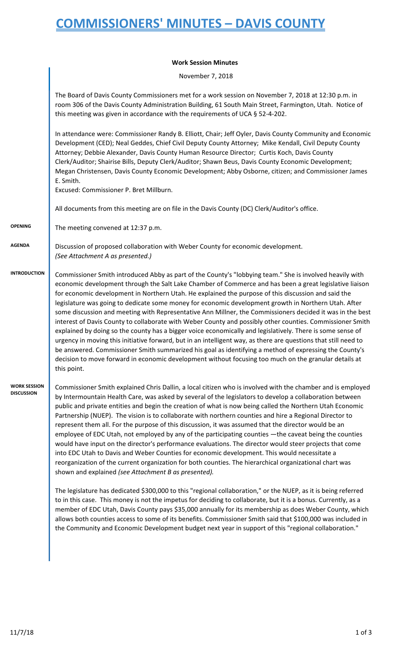## **COMMISSIONERS' MINUTES – DAVIS COUNTY**

## **Work Session Minutes**

November 7, 2018

|                                          | The Board of Davis County Commissioners met for a work session on November 7, 2018 at 12:30 p.m. in<br>room 306 of the Davis County Administration Building, 61 South Main Street, Farmington, Utah. Notice of<br>this meeting was given in accordance with the requirements of UCA § 52-4-202.                                                                                                                                                                                                                                                                                                                                                                                                                                                                                                                                                                                                                                                                                                                                                                                                                                 |
|------------------------------------------|---------------------------------------------------------------------------------------------------------------------------------------------------------------------------------------------------------------------------------------------------------------------------------------------------------------------------------------------------------------------------------------------------------------------------------------------------------------------------------------------------------------------------------------------------------------------------------------------------------------------------------------------------------------------------------------------------------------------------------------------------------------------------------------------------------------------------------------------------------------------------------------------------------------------------------------------------------------------------------------------------------------------------------------------------------------------------------------------------------------------------------|
|                                          | In attendance were: Commissioner Randy B. Elliott, Chair; Jeff Oyler, Davis County Community and Economic<br>Development (CED); Neal Geddes, Chief Civil Deputy County Attorney; Mike Kendall, Civil Deputy County<br>Attorney; Debbie Alexander, Davis County Human Resource Director; Curtis Koch, Davis County<br>Clerk/Auditor; Shairise Bills, Deputy Clerk/Auditor; Shawn Beus, Davis County Economic Development;<br>Megan Christensen, Davis County Economic Development; Abby Osborne, citizen; and Commissioner James<br>E. Smith.<br>Excused: Commissioner P. Bret Millburn.                                                                                                                                                                                                                                                                                                                                                                                                                                                                                                                                         |
|                                          | All documents from this meeting are on file in the Davis County (DC) Clerk/Auditor's office.                                                                                                                                                                                                                                                                                                                                                                                                                                                                                                                                                                                                                                                                                                                                                                                                                                                                                                                                                                                                                                    |
| <b>OPENING</b>                           | The meeting convened at 12:37 p.m.                                                                                                                                                                                                                                                                                                                                                                                                                                                                                                                                                                                                                                                                                                                                                                                                                                                                                                                                                                                                                                                                                              |
| <b>AGENDA</b>                            | Discussion of proposed collaboration with Weber County for economic development.<br>(See Attachment A as presented.)                                                                                                                                                                                                                                                                                                                                                                                                                                                                                                                                                                                                                                                                                                                                                                                                                                                                                                                                                                                                            |
| <b>INTRODUCTION</b>                      | Commissioner Smith introduced Abby as part of the County's "lobbying team." She is involved heavily with<br>economic development through the Salt Lake Chamber of Commerce and has been a great legislative liaison<br>for economic development in Northern Utah. He explained the purpose of this discussion and said the<br>legislature was going to dedicate some money for economic development growth in Northern Utah. After<br>some discussion and meeting with Representative Ann Millner, the Commissioners decided it was in the best<br>interest of Davis County to collaborate with Weber County and possibly other counties. Commissioner Smith<br>explained by doing so the county has a bigger voice economically and legislatively. There is some sense of<br>urgency in moving this initiative forward, but in an intelligent way, as there are questions that still need to<br>be answered. Commissioner Smith summarized his goal as identifying a method of expressing the County's<br>decision to move forward in economic development without focusing too much on the granular details at<br>this point. |
| <b>WORK SESSION</b><br><b>DISCUSSION</b> | Commissioner Smith explained Chris Dallin, a local citizen who is involved with the chamber and is employed<br>by Intermountain Health Care, was asked by several of the legislators to develop a collaboration between<br>public and private entities and begin the creation of what is now being called the Northern Utah Economic<br>Partnership (NUEP). The vision is to collaborate with northern counties and hire a Regional Director to<br>represent them all. For the purpose of this discussion, it was assumed that the director would be an<br>employee of EDC Utah, not employed by any of the participating counties —the caveat being the counties<br>would have input on the director's performance evaluations. The director would steer projects that come<br>into EDC Utah to Davis and Weber Counties for economic development. This would necessitate a<br>reorganization of the current organization for both counties. The hierarchical organizational chart was<br>shown and explained (see Attachment B as presented).                                                                                 |
|                                          | The legislature has dedicated \$300,000 to this "regional collaboration," or the NUEP, as it is being referred<br>to in this case. This money is not the impetus for deciding to collaborate, but it is a bonus. Currently, as a<br>member of EDC Utah, Davis County pays \$35,000 annually for its membership as does Weber County, which<br>allows both counties access to some of its benefits. Commissioner Smith said that \$100,000 was included in<br>the Community and Economic Development budget next year in support of this "regional collaboration."                                                                                                                                                                                                                                                                                                                                                                                                                                                                                                                                                               |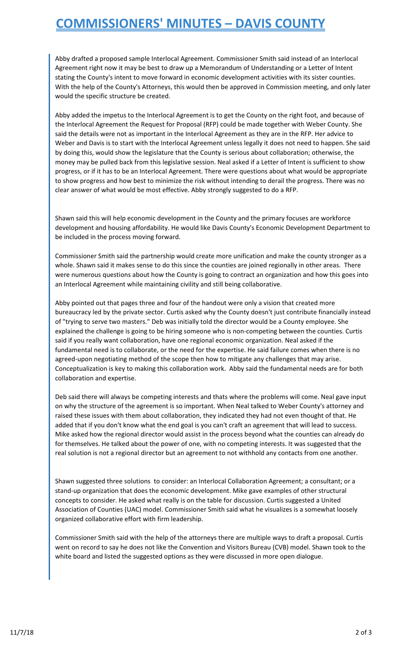## **COMMISSIONERS' MINUTES – DAVIS COUNTY**

Abby drafted a proposed sample Interlocal Agreement. Commissioner Smith said instead of an Interlocal Agreement right now it may be best to draw up a Memorandum of Understanding or a Letter of Intent stating the County's intent to move forward in economic development activities with its sister counties. With the help of the County's Attorneys, this would then be approved in Commission meeting, and only later would the specific structure be created.

Abby added the impetus to the Interlocal Agreement is to get the County on the right foot, and because of the Interlocal Agreement the Request for Proposal (RFP) could be made together with Weber County. She said the details were not as important in the Interlocal Agreement as they are in the RFP. Her advice to Weber and Davis is to start with the Interlocal Agreement unless legally it does not need to happen. She said by doing this, would show the legislature that the County is serious about collaboration; otherwise, the money may be pulled back from this legislative session. Neal asked if a Letter of Intent is sufficient to show progress, or if it has to be an Interlocal Agreement. There were questions about what would be appropriate to show progress and how best to minimize the risk without intending to derail the progress. There was no clear answer of what would be most effective. Abby strongly suggested to do a RFP.

Shawn said this will help economic development in the County and the primary focuses are workforce development and housing affordability. He would like Davis County's Economic Development Department to be included in the process moving forward.

Commissioner Smith said the partnership would create more unification and make the county stronger as a whole. Shawn said it makes sense to do this since the counties are joined regionally in other areas. There were numerous questions about how the County is going to contract an organization and how this goes into an Interlocal Agreement while maintaining civility and still being collaborative.

Abby pointed out that pages three and four of the handout were only a vision that created more bureaucracy led by the private sector. Curtis asked why the County doesn't just contribute financially instead of "trying to serve two masters." Deb was initially told the director would be a County employee. She explained the challenge is going to be hiring someone who is non-competing between the counties. Curtis said if you really want collaboration, have one regional economic organization. Neal asked if the fundamental need is to collaborate, or the need for the expertise. He said failure comes when there is no agreed-upon negotiating method of the scope then how to mitigate any challenges that may arise. Conceptualization is key to making this collaboration work. Abby said the fundamental needs are for both collaboration and expertise.

Deb said there will always be competing interests and thats where the problems will come. Neal gave input on why the structure of the agreement is so important. When Neal talked to Weber County's attorney and raised these issues with them about collaboration, they indicated they had not even thought of that. He added that if you don't know what the end goal is you can't craft an agreement that will lead to success. Mike asked how the regional director would assist in the process beyond what the counties can already do for themselves. He talked about the power of one, with no competing interests. It was suggested that the real solution is not a regional director but an agreement to not withhold any contacts from one another.

Shawn suggested three solutions to consider: an Interlocal Collaboration Agreement; a consultant; or a stand-up organization that does the economic development. Mike gave examples of other structural concepts to consider. He asked what really is on the table for discussion. Curtis suggested a United Association of Counties (UAC) model. Commissioner Smith said what he visualizes is a somewhat loosely organized collaborative effort with firm leadership.

Commissioner Smith said with the help of the attorneys there are multiple ways to draft a proposal. Curtis went on record to say he does not like the Convention and Visitors Bureau (CVB) model. Shawn took to the white board and listed the suggested options as they were discussed in more open dialogue.